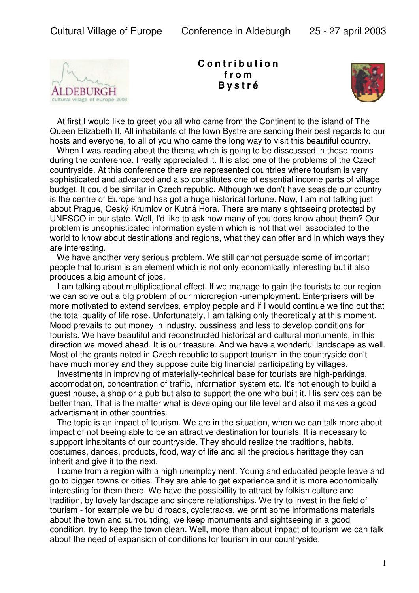

**C o n t r i b u t i o n f r o m B y s t r é**



 At first I would like to greet you all who came from the Continent to the island of The Queen Elizabeth II. All inhabitants of the town Bystre are sending their best regards to our hosts and everyone, to all of you who came the long way to visit this beautiful country.

When I was reading about the thema which is going to be disscussed in these rooms during the conference, I really appreciated it. It is also one of the problems of the Czech countryside. At this conference there are represented countries where tourism is very sophisticated and advanced and also constitutes one of essential income parts of village budget. It could be similar in Czech republic. Although we don't have seaside our country is the centre of Europe and has got a huge historical fortune. Now, I am not talking just about Prague, Ceský Krumlov or Kutná Hora. There are many sightseeing protected by UNESCO in our state. Well, I'd like to ask how many of you does know about them? Our problem is unsophisticated information system which is not that well associated to the world to know about destinations and regions, what they can offer and in which ways they are interesting.

 We have another very serious problem. We still cannot persuade some of important people that tourism is an element which is not only economically interesting but it also produces a big amount of jobs.

 I am talking about multiplicational effect. If we manage to gain the tourists to our region we can solve out a bIg problem of our microregion -unemployment. Enterprisers will be more motivated to extend services, employ people and if I would continue we find out that the total quality of life rose. Unfortunately, I am talking only theoretically at this moment. Mood prevails to put money in industry, bussiness and less to develop conditions for tourists. We have beautiful and reconstructed historical and cultural monuments, in this direction we moved ahead. It is our treasure. And we have a wonderful landscape as well. Most of the grants noted in Czech republic to support tourism in the countryside don't have much money and they suppose quite big financial participating by villages.

 Investments in improving of materially-technical base for tourists are high-parkings, accomodation, concentration of traffic, information system etc. It's not enough to build a guest house, a shop or a pub but also to support the one who built it. His services can be better than. That is the matter what is developing our life level and also it makes a good advertisment in other countries.

 The topic is an impact of tourism. We are in the situation, when we can talk more about impact of not beeing able to be an attractive destination for tourists. It is necessary to suppport inhabitants of our countryside. They should realize the traditions, habits, costumes, dances, products, food, way of life and all the precious herittage they can inherit and give it to the next.

 I come from a region with a high unemployment. Young and educated people leave and go to bigger towns or cities. They are able to get experience and it is more economically interesting for them there. We have the possibillity to attract by folkish culture and tradition, by lovely landscape and sincere relationships. We try to invest in the field of tourism - for example we build roads, cycletracks, we print some informations materials about the town and surrounding, we keep monuments and sightseeing in a good condition, try to keep the town clean. Well, more than about impact of tourism we can talk about the need of expansion of conditions for tourism in our countryside.